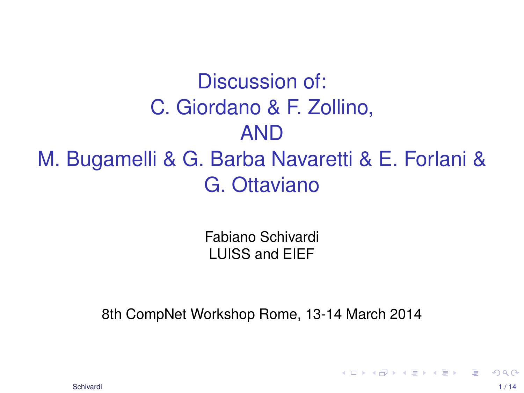Discussion of: C. Giordano & F. Zollino, AND M. Bugamelli & G. Barba Navaretti & E. Forlani & G. Ottaviano

> Fabiano Schivardi LUISS and EIEF

8th CompNet Workshop Rome, 13-14 March 2014

イロン イ団ン イヨン イヨン 一番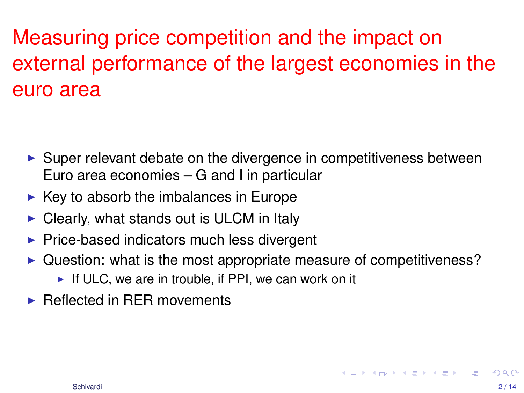Measuring price competition and the impact on external performance of the largest economies in the euro area

- $\triangleright$  Super relevant debate on the divergence in competitiveness between Euro area economies – G and I in particular
- $\blacktriangleright$  Key to absorb the imbalances in Europe
- Clearly, what stands out is ULCM in Italy
- Price-based indicators much less divergent
- Question: what is the most appropriate measure of competitiveness?
	- If ULC, we are in trouble, if PPI, we can work on it
- $\blacktriangleright$  Reflected in RER movements

イロン イ団ン イヨン イヨン 一番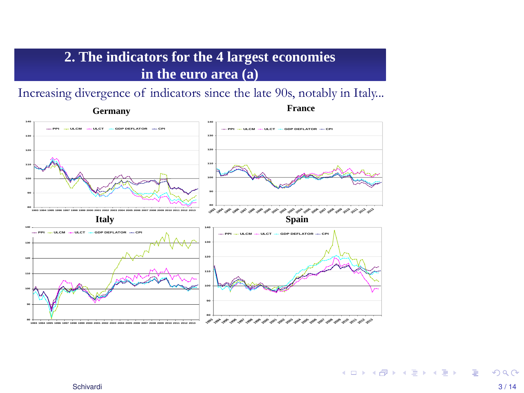#### **2. The indicators for the 4 largest economies in the euro area (a)**

Increasing divergence of indicators since the late 90s, notably in Italy...



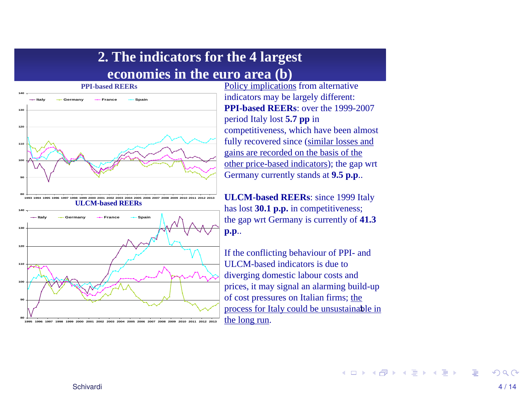### **2. The indicators for the 4 largest**

**economies in the euro area (b)**

**PPI-based REERs**



1995 1996 1997 1998 1999 2000 2001 2002 2003 2004 2005 2006 2007 2008 2009 2010 2011 2012 2013

Policy implications from alternative indicators may be largely different: **PPI-based REERs**: over the 1999-2007 period Italy lost **5.7 pp** in competitiveness, which have been almost fully recovered since (similar losses and gains are recorded on the basis of the other price-based indicators); the gap wrt Germany currently stands at **9.5 p.p**..

**ULCM-based REERs**: since 1999 Italy has lost **30.1 p.p.** in competitiveness; the gap wrt Germany is currently of **41.3 p.p**..

1 process for Italy could be unsustainable in If the conflicting behaviour of PPI- and ULCM-based indicators is due to diverging domestic labour costs and prices, it may signal an alarming build-up of cost pressures on Italian firms; the the long run.

 $A \cap B \rightarrow A \cap B \rightarrow A \cap B \rightarrow A \cap B \rightarrow A \cap B$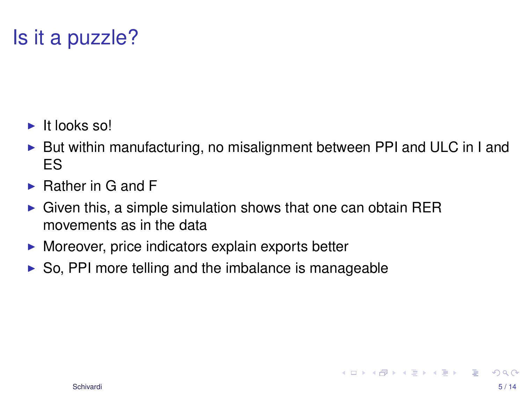## Is it a puzzle?

- $\blacktriangleright$  It looks so!
- <sup>I</sup> But within manufacturing, no misalignment between PPI and ULC in I and ES
- $\blacktriangleright$  Rather in G and F
- Given this, a simple simulation shows that one can obtain RER movements as in the data
- $\triangleright$  Moreover, price indicators explain exports better
- $\triangleright$  So, PPI more telling and the imbalance is manageable

イロン イ団 メイミン イヨン 一番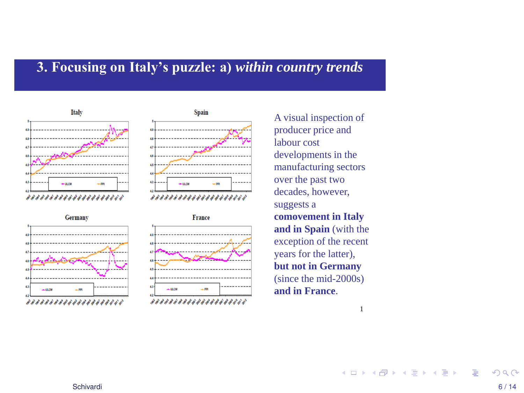#### **3. Focusing on Italy's puzzle: a)** *within country trends*









A visual inspection of producer price and labour cost developments in the manufacturing sectors over the past two decades, however, suggests a **comovement in Italy and in Spain** (with the exception of the recent years for the latter), **but not in Germany** (since the mid-2000s) **and in France**.

1

**K ロ ト K 伺 ト K ヨ ト K ヨ ト**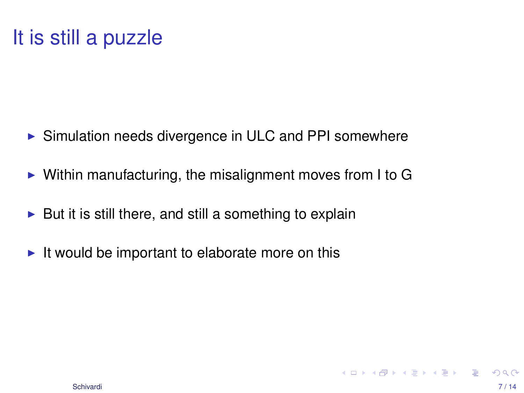## It is still a puzzle

- $\triangleright$  Simulation needs divergence in ULC and PPI somewhere
- $\triangleright$  Within manufacturing, the misalignment moves from I to G
- $\triangleright$  But it is still there, and still a something to explain
- $\blacktriangleright$  It would be important to elaborate more on this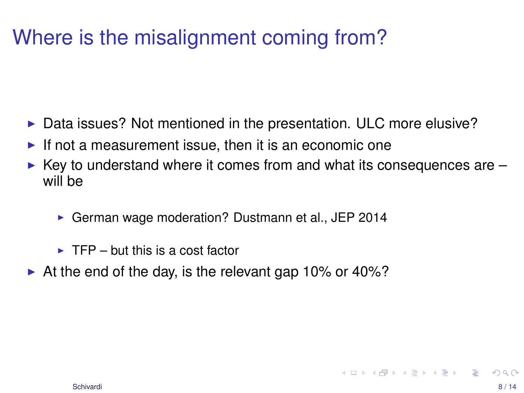## Where is the misalignment coming from?

- $\triangleright$  Data issues? Not mentioned in the presentation. ULC more elusive?
- If not a measurement issue, then it is an economic one
- $\triangleright$  Key to understand where it comes from and what its consequences are  $$ will be
	- ► German wage moderation? Dustmann et al., JEP 2014
	- $\blacktriangleright$  TFP but this is a cost factor
- At the end of the day, is the relevant gap 10% or 40%?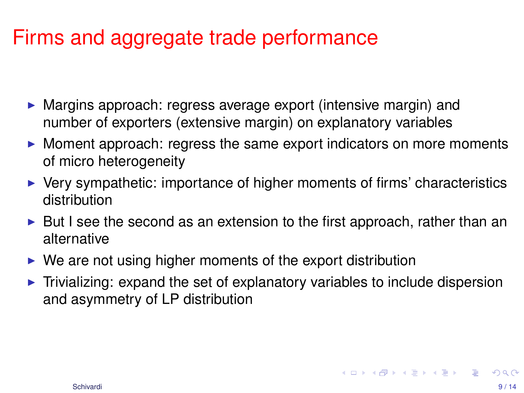## Firms and aggregate trade performance

- $\triangleright$  Margins approach: regress average export (intensive margin) and number of exporters (extensive margin) on explanatory variables
- $\triangleright$  Moment approach: regress the same export indicators on more moments of micro heterogeneity
- $\triangleright$  Very sympathetic: importance of higher moments of firms' characteristics distribution
- $\triangleright$  But I see the second as an extension to the first approach, rather than an alternative
- $\triangleright$  We are not using higher moments of the export distribution
- $\triangleright$  Trivializing: expand the set of explanatory variables to include dispersion and asymmetry of LP distribution

イロト イ団 トイヨ トイヨ トーヨー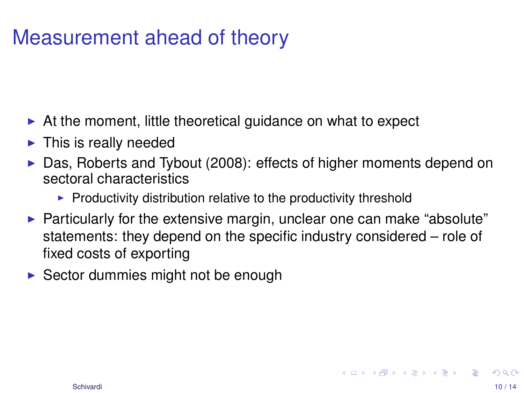## Measurement ahead of theory

- $\triangleright$  At the moment, little theoretical guidance on what to expect
- $\blacktriangleright$  This is really needed
- Das, Roberts and Tybout (2008): effects of higher moments depend on sectoral characteristics
	- $\triangleright$  Productivity distribution relative to the productivity threshold
- $\blacktriangleright$  Particularly for the extensive margin, unclear one can make "absolute" statements: they depend on the specific industry considered – role of fixed costs of exporting
- $\triangleright$  Sector dummies might not be enough

 $\mathbf{A} \cap \mathbf{B} \rightarrow \mathbf{A} \oplus \mathbf{B} \rightarrow \mathbf{A} \oplus \mathbf{B} \rightarrow \mathbf{B} \oplus \mathbf{B} \oplus \mathbf{B} \oplus \mathbf{B} \oplus \mathbf{B} \oplus \mathbf{B} \oplus \mathbf{B} \oplus \mathbf{B} \oplus \mathbf{B} \oplus \mathbf{B} \oplus \mathbf{B} \oplus \mathbf{B} \oplus \mathbf{B} \oplus \mathbf{B} \oplus \mathbf{B} \oplus \mathbf{B} \oplus \mathbf{B} \oplus \mathbf{B} \oplus \mathbf{B} \opl$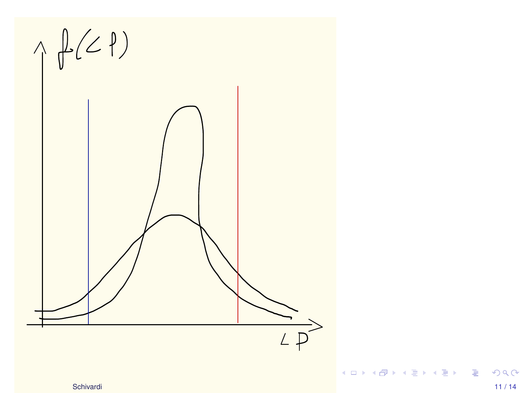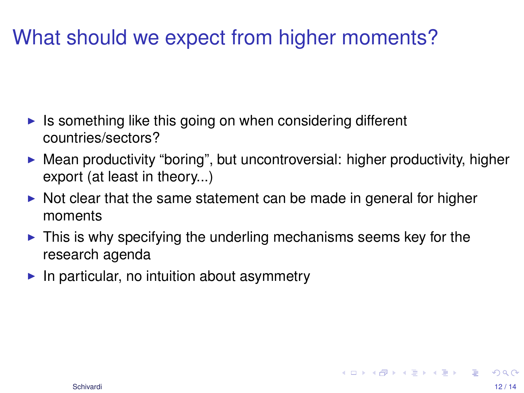## What should we expect from higher moments?

- $\blacktriangleright$  Is something like this going on when considering different countries/sectors?
- $\blacktriangleright$  Mean productivity "boring", but uncontroversial: higher productivity, higher export (at least in theory...)
- $\triangleright$  Not clear that the same statement can be made in general for higher moments
- $\triangleright$  This is why specifying the underling mechanisms seems key for the research agenda
- $\blacktriangleright$  In particular, no intuition about asymmetry

イロト イ団 トイミト イミト ニヨー りなび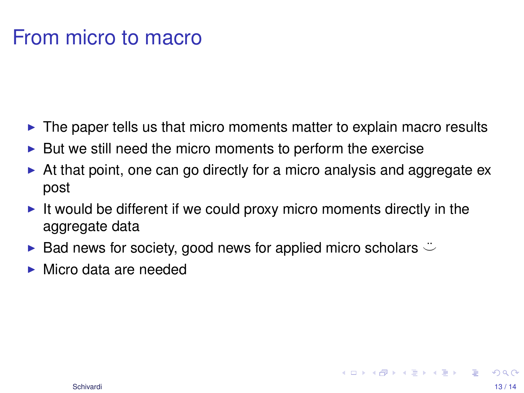#### From micro to macro

- $\triangleright$  The paper tells us that micro moments matter to explain macro results
- But we still need the micro moments to perform the exercise
- At that point, one can go directly for a micro analysis and aggregate ex post
- $\blacktriangleright$  It would be different if we could proxy micro moments directly in the aggregate data
- ► Bad news for society, good news for applied micro scholars  $\ddot{\smile}$
- $\blacktriangleright$  Micro data are needed

KO KARA KE KA EKARA